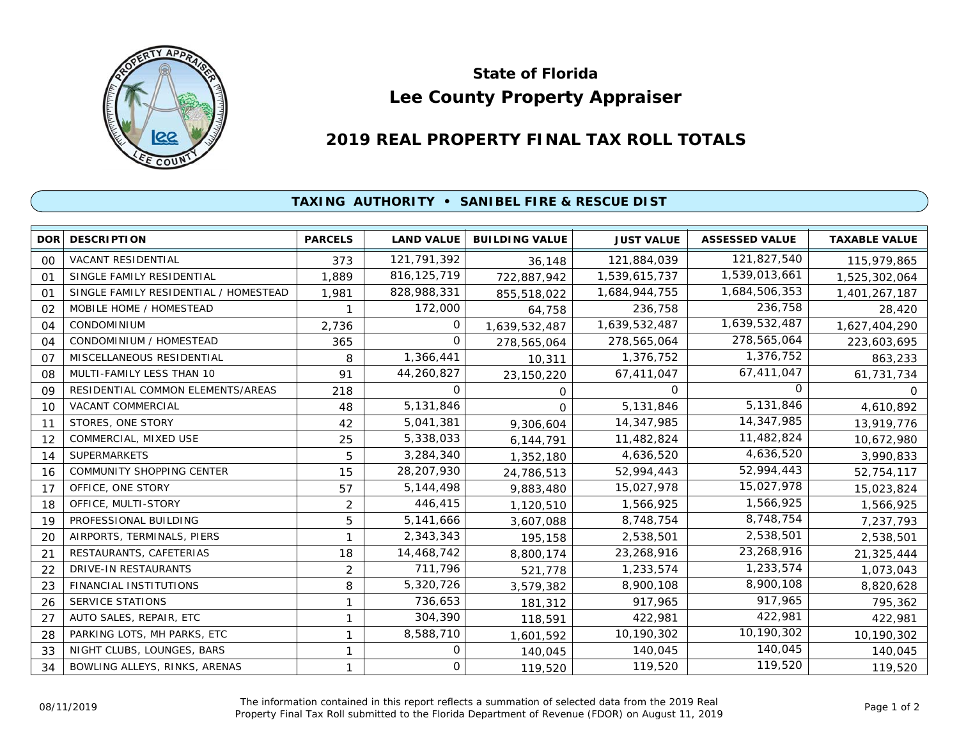

## **Lee County Property Appraiser State of Florida**

## **2019 REAL PROPERTY FINAL TAX ROLL TOTALS**

## **TAXING AUTHORITY • SANIBEL FIRE & RESCUE DIST**

| <b>DOR</b> | <b>DESCRIPTION</b>                    | <b>PARCELS</b> | <b>LAND VALUE</b> | <b>BUILDING VALUE</b> | <b>JUST VALUE</b> | <b>ASSESSED VALUE</b> | <b>TAXABLE VALUE</b> |
|------------|---------------------------------------|----------------|-------------------|-----------------------|-------------------|-----------------------|----------------------|
| 00         | VACANT RESIDENTIAL                    | 373            | 121,791,392       | 36,148                | 121,884,039       | 121,827,540           | 115,979,865          |
| 01         | SINGLE FAMILY RESIDENTIAL             | 1,889          | 816, 125, 719     | 722,887,942           | 1,539,615,737     | 1,539,013,661         | 1,525,302,064        |
| 01         | SINGLE FAMILY RESIDENTIAL / HOMESTEAD | 1,981          | 828,988,331       | 855,518,022           | 1,684,944,755     | 1,684,506,353         | 1,401,267,187        |
| 02         | MOBILE HOME / HOMESTEAD               |                | 172,000           | 64,758                | 236,758           | 236,758               | 28,420               |
| 04         | <b>CONDOMINIUM</b>                    | 2,736          | 0                 | 1,639,532,487         | 1,639,532,487     | 1,639,532,487         | 1,627,404,290        |
| 04         | CONDOMINIUM / HOMESTEAD               | 365            | 0                 | 278,565,064           | 278,565,064       | 278,565,064           | 223,603,695          |
| 07         | MISCELLANEOUS RESIDENTIAL             | 8              | 1,366,441         | 10,311                | 1,376,752         | 1,376,752             | 863,233              |
| 08         | MULTI-FAMILY LESS THAN 10             | 91             | 44,260,827        | 23,150,220            | 67,411,047        | 67,411,047            | 61,731,734           |
| 09         | RESIDENTIAL COMMON ELEMENTS/AREAS     | 218            | 0                 | 0                     | 0                 | <sup>o</sup>          | 0                    |
| 10         | VACANT COMMERCIAL                     | 48             | 5,131,846         | $\Omega$              | 5,131,846         | 5,131,846             | 4,610,892            |
| 11         | STORES, ONE STORY                     | 42             | 5,041,381         | 9,306,604             | 14,347,985        | 14,347,985            | 13,919,776           |
| 12         | COMMERCIAL, MIXED USE                 | 25             | 5,338,033         | 6,144,791             | 11,482,824        | 11,482,824            | 10,672,980           |
| 14         | <b>SUPERMARKETS</b>                   | 5              | 3,284,340         | 1,352,180             | 4,636,520         | 4,636,520             | 3,990,833            |
| 16         | COMMUNITY SHOPPING CENTER             | 15             | 28,207,930        | 24,786,513            | 52,994,443        | 52,994,443            | 52,754,117           |
| 17         | OFFICE, ONE STORY                     | 57             | 5, 144, 498       | 9,883,480             | 15,027,978        | 15,027,978            | 15,023,824           |
| 18         | OFFICE, MULTI-STORY                   | $\overline{2}$ | 446,415           | 1,120,510             | 1,566,925         | 1,566,925             | 1,566,925            |
| 19         | PROFESSIONAL BUILDING                 | 5              | 5,141,666         | 3,607,088             | 8,748,754         | 8,748,754             | 7,237,793            |
| 20         | AIRPORTS, TERMINALS, PIERS            |                | 2,343,343         | 195,158               | 2,538,501         | 2,538,501             | 2,538,501            |
| 21         | RESTAURANTS, CAFETERIAS               | 18             | 14,468,742        | 8,800,174             | 23,268,916        | 23,268,916            | 21,325,444           |
| 22         | DRIVE-IN RESTAURANTS                  | 2              | 711,796           | 521,778               | 1,233,574         | 1,233,574             | 1,073,043            |
| 23         | FINANCIAL INSTITUTIONS                | 8              | 5,320,726         | 3,579,382             | 8,900,108         | 8,900,108             | 8,820,628            |
| 26         | SERVICE STATIONS                      |                | 736,653           | 181,312               | 917,965           | 917,965               | 795,362              |
| 27         | AUTO SALES, REPAIR, ETC               |                | 304,390           | 118,591               | 422,981           | 422,981               | 422,981              |
| 28         | PARKING LOTS, MH PARKS, ETC           |                | 8,588,710         | 1,601,592             | 10,190,302        | 10,190,302            | 10,190,302           |
| 33         | NIGHT CLUBS, LOUNGES, BARS            |                | 0                 | 140,045               | 140,045           | 140,045               | 140,045              |
| 34         | BOWLING ALLEYS, RINKS, ARENAS         |                | 0                 | 119,520               | 119,520           | 119,520               | 119,520              |